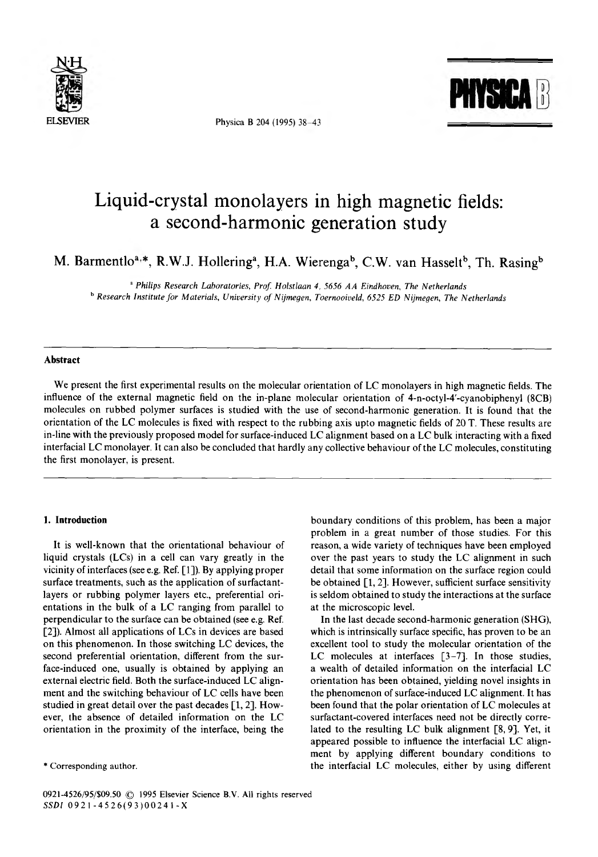

**ELSEVIER** Physica B 204 (1995) 38–43



# **Liquid-crystal monolayers in high magnetic fields: a second-harmonic generation study**

M. Barmentlo<sup>a,\*</sup>, R.W.J. Hollering<sup>a</sup>, H.A. Wierenga<sup>b</sup>, C.W. van Hasselt<sup>b</sup>, Th. Rasing<sup>b</sup>

<sup>a</sup> Philips Research Laboratories, Prof. Holstlaan 4, 5656 AA Eindhoven, The Netherlands <sup>b</sup> Research Institute for Materials, University of Nijmegen, Toernooiveld, 6525 ED Nijmegen, The Netherlands

# **Abstract**

We present the first experimental results on the molecular orientation of LC monolayers in high magnetic fields. The influence of the external magnetic field on the in-plane m olecular orientation of 4-n-octyl-4'-cyanobiphenyl (8CB) molecules on rubbed polymer surfaces is studied with the use of second-harmonic generation. It is found that the orientation of the LC molecules is fixed with respect to the rubbing axis upto magnetic fields of 20 T. These results are in-line with the previously proposed model for surface-induced LC alignment based on a LC bulk interacting with a fixed interfacial LC monolayer. It can also be concluded that hardly any collective behaviour of the LC molecules, constituting the first monolayer, is present.

#### **1. Introduction**

It is well-known that the orientational behaviour of liquid crystals (LCs) in a cell can vary greatly in the vicinity of interfaces (see e.g. Ref. [1]). By applying proper surface treatments, such as the application of surfactantlayers or rubbing polymer layers etc., preferential orientations in the bulk of a LC ranging from parallel to perpendicular to the surface can be obtained (see e.g. Ref. [2]). Almost all applications of LCs in devices are based on this phenomenon. In those switching LC devices, the second preferential orientation, different from the surface-induced one, usually is obtained by applying an external electric field. Both the surface-induced LC alignment and the switching behaviour of LC cells have been studied in great detail over the past decades  $[1, 2]$ . However, the absence of detailed information on the LC orientation in the proximity of the interface, being the

0921 -4526/95/S09.50 © 1995 Elsevier Science B.V. All rights reserved *SSDI* 0921-4526(93)00241-X

boundary conditions of this problem, has been a major problem in a great number of those studies. For this reason, a wide variety of techniques have been employed over the past years to study the LC alignment in such detail that some information on the surface region could be obtained [1, 2]. However, sufficient surface sensitivity is seldom obtained to study the interactions at the surface at the microscopic level.

In the last decade second-harmonic generation (SHG), which is intrinsically surface specific, has proven to be an excellent tool to study the molecular orientation of the LC molecules at interfaces  $[3-7]$ . In those studies, a wealth of detailed information on the interfacial LC orientation has been obtained, yielding novel insights in the phenomenon of surface-induced LC alignment. It has been found that the polar orientation of LC molecules at surfactant-covered interfaces need not be directly correlated to the resulting LC bulk alignment [8, 9]. Yet, it appeared possible to influence the interfacial LC alignment by applying different boundary conditions to the interfacial LC molecules, either by using different

<sup>\*</sup> Corresponding author.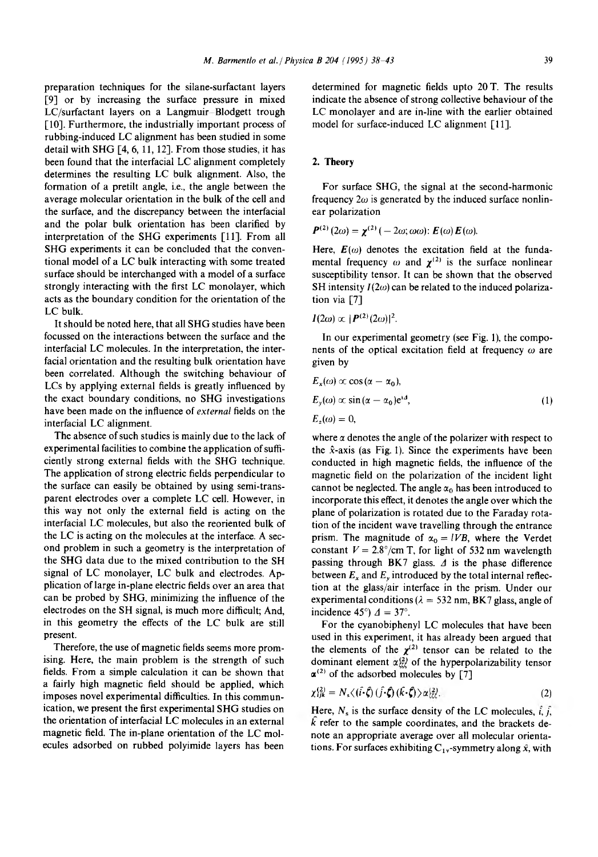preparation techniques for the silane-surfactant layers [9] or by increasing the surface pressure in mixed  $LC/s$ urfactant layers on a Langmuir-Blodgett trough [10]. Furthermore, the industrially important process of rubbing-induced LC alignment has been studied in some detail with SHG  $[4, 6, 11, 12]$ . From those studies, it has been found that the interfacial LC alignment completely determines the resulting LC bulk alignment. Also, the form ation of a pretilt angle, i.e., the angle between the average molecular orientation in the bulk of the cell and the surface, and the discrepancy between the interfacial and the polar bulk orientation has been clarified by interpretation of the SHG experiments [11]. From all SHG experiments it can be concluded that the conventional model of a LC bulk interacting with some treated surface should be interchanged with a model of a surface strongly interacting with the first LC monolayer, which acts as the boundary condition for the orientation of the LC bulk.

It should be noted here, that all SHG studies have been focussed on the interactions between the surface and the interfacial LC molecules. In the interpretation, the interfacial orientation and the resulting bulk orientation have been correlated. Although the switching behaviour of LCs by applying external fields is greatly influenced by the exact boundary conditions, no SHG investigations have been made on the influence of *external* fields on the interfacial LC alignment.

The absence of such studies is mainly due to the lack of experimental facilities to combine the application of sufficiently strong external fields with the SHG technique. The application of strong electric fields perpendicular to the surface can easily be obtained by using semi-transparent electrodes over a complete LC cell. However, in this way not only the external field is acting on the interfacial LC molecules, but also the reoriented bulk of the LC is acting on the molecules at the interface. A second problem in such a geom etry is the interpretation of the SHG data due to the mixed contribution to the SH signal of LC monolayer, LC bulk and electrodes. Application of large in-plane electric fields over an area that can be probed by SHG, minimizing the influence of the electrodes on the SH signal, is much more difficult; And, in this geom etry the effects of the LC bulk are still present.

Therefore, the use of magnetic fields seems more promising. Here, the main problem is the strength of such fields. From a simple calculation it can be shown that a fairly high magnetic field should be applied, which imposes novel experimental difficulties. In this communication, we present the first experimental SHG studies on the orientation of interfacial LC molecules in an external magnetic field. The in-plane orientation of the LC molecules adsorbed on rubbed polyimide layers has been

determined for magnetic fields upto 20 T. The results indicate the absence of strong collective behaviour of the LC monolayer and are in-line with the earlier obtained model for surface-induced LC alignment [11].

#### **2. Theory**

For surface SHG, the signal at the second-harmonic frequency  $2\omega$  is generated by the induced surface nonlinear polarization

$$
\boldsymbol{P}^{(2)}(2\omega) = \boldsymbol{\chi}^{(2)}(-2\omega;\omega\omega); \boldsymbol{E}(\omega)\boldsymbol{E}(\omega).
$$

Here,  $E(\omega)$  denotes the excitation field at the fundamental frequency  $\omega$  and  $\chi^{(2)}$  is the surface nonlinear susceptibility tensor. It can be shown that the observed SH intensity  $I(2\omega)$  can be related to the induced polarization via [7]

$$
I(2\omega) \propto |\boldsymbol{P}^{(2)}(2\omega)|^2.
$$

In our experimental geometry (see Fig. 1), the components of the optical excitation field at frequency  $\omega$  are given by

$$
E_x(\omega) \propto \cos(\alpha - \alpha_0),
$$
  
\n
$$
E_y(\omega) \propto \sin(\alpha - \alpha_0) e^{iA},
$$
  
\n
$$
E_z(\omega) = 0,
$$
\n(1)

where  $\alpha$  denotes the angle of the polarizer with respect to the  $\hat{x}$ -axis (as Fig. 1). Since the experiments have been conducted in high magnetic fields, the influence of the magnetic field on the polarization of the incident light cannot be neglected. The angle  $\alpha_0$  has been introduced to incorporate this effect, it denotes the angle over which the plane of polarization is rotated due to the Faraday rotation of the incident wave travelling through the entrance prism. The magnitude of  $\alpha_0 = IVB$ , where the Verdet constant  $V = 2.8^{\circ}/\text{cm}$  T, for light of 532 nm wavelength passing through BK7 glass.  $\Delta$  is the phase difference between  $E_x$  and  $E_y$  introduced by the total internal reflection at the glass/air interface in the prism. Under our experimental conditions  $(\lambda = 532 \text{ nm}, \text{BK7} \text{ glass}, \text{angle of}$ incidence 45°)  $\Delta = 37$ °.

For the cyanobiphenyl LC molecules that have been used in this experiment, it has already been argued that the elements of the  $\chi^{(2)}$  tensor can be related to the dominant element  $\alpha_{\xi\xi}^{(2)}$  of the hyperpolarizability tensor  $\alpha^{(2)}$  of the adsorbed molecules by [7]

$$
\chi_{ijk}^{(2)} = N_s \langle (\hat{i} \cdot \hat{\zeta}) (\hat{j} \cdot \hat{\zeta}) (\hat{k} \cdot \hat{\zeta}) \rangle \alpha_{\zeta \zeta}^{(2)}.
$$
 (2)

Here,  $N_s$  is the surface density of the LC molecules,  $\hat{i}, \hat{j}$ , *k* refer to the sample coordinates, and the brackets denote an appropriate average over all molecular orientations. For surfaces exhibiting  $C_{1v}$ -symmetry along  $\hat{x}$ , with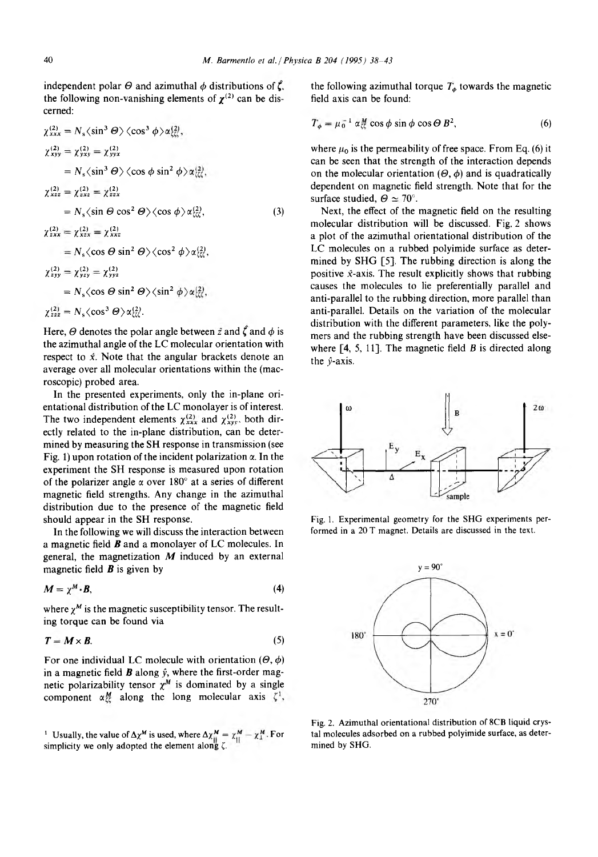independent polar  $\Theta$  and azimuthal  $\phi$  distributions of  $\zeta$ , the following non-vanishing elements of  $\chi^{(2)}$  can be discerned:

$$
\chi_{xxx}^{(2)} = N_s \langle \sin^3 \Theta \rangle \langle \cos^3 \phi \rangle \alpha_{xx}^{(2)},
$$
  
\n
$$
\chi_{xy}^{(2)} = \chi_{yxy}^{(2)} = \chi_{yyx}^{(2)}
$$
  
\n
$$
= N_s \langle \sin^3 \Theta \rangle \langle \cos \phi \sin^2 \phi \rangle \alpha_{xx}^{(2)},
$$
  
\n
$$
\chi_{xzz}^{(2)} = \chi_{zxz}^{(2)} = \chi_{zzx}^{(2)}
$$
  
\n
$$
= N_s \langle \sin \Theta \cos^2 \Theta \rangle \langle \cos \phi \rangle \alpha_{xx}^{(2)},
$$
  
\n
$$
\chi_{zxx}^{(2)} = \chi_{xzx}^{(2)} = \chi_{xxz}^{(2)}
$$
  
\n
$$
= N_s \langle \cos \Theta \sin^2 \Theta \rangle \langle \cos^2 \Theta \rangle \langle \sin^2 \Theta \rangle \langle \sin^2 \Theta \rangle
$$
  
\n(3)

$$
= N_s \langle \cos \Theta \sin^2 \Theta \rangle \langle \cos^2 \phi \rangle \alpha_{\xi\xi}^{1/2},
$$
  
\n
$$
\chi_{zyy}^{(2)} = \chi_{yzy}^{(2)} = \chi_{yyz}^{(2)}
$$
  
\n
$$
= N_s \langle \cos \Theta \sin^2 \Theta \rangle \langle \sin^2 \phi \rangle \alpha_{\xi\xi}^{(2)},
$$
  
\n
$$
\chi_{zzz}^{(2)} = N_s \langle \cos^3 \Theta \rangle \alpha_{\xi\xi}^{(2)}.
$$

Here,  $\Theta$  denotes the polar angle between  $\hat{z}$  and  $\hat{\zeta}$  and  $\phi$  is the azimuthal angle of the LC molecular orientation with respect to  $\hat{x}$ . Note that the angular brackets denote an average over all molecular orientations within the (macroscopic) probed area.

In the presented experiments, only the in-plane orientational distribution of the LC monolayer is of interest. The two independent elements  $\chi^{(2)}_{xxx}$  and  $\chi^{(2)}_{xyy}$ , both directly related to the in-plane distribution, can be determined by measuring the SH response in transmission (see Fig. 1) upon rotation of the incident polarization  $\alpha$ . In the experiment the SH response is measured upon rotation of the polarizer angle  $\alpha$  over 180° at a series of different magnetic field strengths. Any change in the azimuthal distribution due to the presence of the magnetic field should appear in the SH response.

In the following we will discuss the interaction between a magnetic field **B** and a monolayer of LC molecules. In general, the magnetization  $M$  induced by an external magnetic field  $\boldsymbol{B}$  is given by

$$
M = \chi^M \cdot B,\tag{4}
$$

where  $\chi^M$  is the magnetic susceptibility tensor. The resulting torque can be found via

$$
T = M \times B. \tag{5}
$$

For one individual LC molecule with orientation  $(\Theta, \phi)$ in a magnetic field  $\boldsymbol{B}$  along  $\hat{y}$ , where the first-order magnetic polarizability tensor *x* component  $\alpha_{\ell\ell}^M$  along the <sup>*I*</sup> is dominated by a single long m olecular axis

<sup>1</sup> Usually, the value of  $\Delta \chi^M$  is used, where  $\Delta \chi^M = \chi^M = \chi^M$ . For tal molecules adsorbed on a rubbed polyimide surface, as detersimplicity we only adopted the element along  $\zeta$ . The mined by SHG.

the following azimuthal torque  $T_{\phi}$  towards the magnetic field axis can be found:

$$
T_{\phi} = \mu_0^{-1} \alpha_{\zeta\zeta}^M \cos \phi \sin \phi \cos \Theta B^2, \tag{6}
$$

where  $\mu_0$  is the permeability of free space. From Eq. (6) it can be seen that the strength of the interaction depends on the molecular orientation  $(\Theta, \phi)$  and is quadratically dependent on magnetic field strength. Note that for the surface studied,  $\Theta \simeq 70^{\circ}$ .

Next, the effect of the magnetic field on the resulting molecular distribution will be discussed. Fig. 2 shows a plot of the azimuthal orientational distribution of the LC molecules on a rubbed polyimide surface as determined by SHG  $[5]$ . The rubbing direction is along the positive  $\hat{x}$ -axis. The result explicitly shows that rubbing causes the molecules to lie preferentially parallel and anti-parallel to the rubbing direction, more parallel than anti-parallel. Details on the variation of the molecular distribution with the different parameters, like the polymers and the rubbing strength have been discussed elsewhere [4, 5, 11]. The magnetic field *B* is directed along the  $\hat{v}$ -axis.







Fig. 2. Azimuthal orientational distribution of 8CB liquid crys-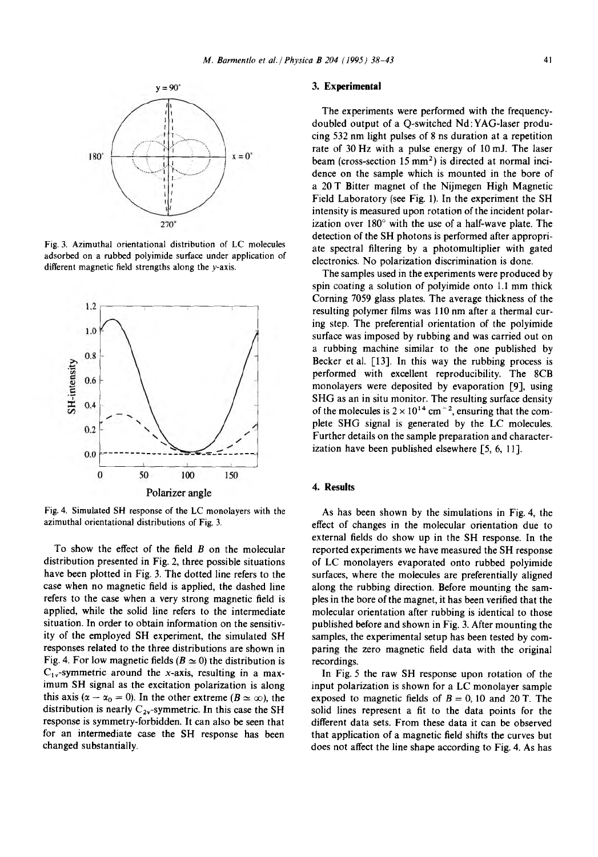

Fig. 3. Azimuthal orientational distribution of LC molecules adsorbed on a rubbed polyimide surface under application of different magnetic field strengths along the y-axis.



Fig. 4. Simulated SH response of the LC monolayers with the azimuthal orientational distributions of Fig. 3.

To show the effect of the field  $B$  on the molecular distribution presented in Fig. 2, three possible situations have been plotted in Fig. 3. The dotted line refers to the case when no magnetic field is applied, the dashed line refers to the case when a very strong magnetic field is applied, while the solid line refers to the intermediate situation. In order to obtain information on the sensitivity of the employed SH experiment, the simulated SH responses related to the three distributions are shown in Fig. 4. For low magnetic fields  $(B \simeq 0)$  the distribution is  $C_{1v}$ -symmetric around the x-axis, resulting in a maximum SH signal as the excitation polarization is along this axis ( $\alpha - \alpha_0 = 0$ ). In the other extreme ( $B \simeq \infty$ ), the distribution is nearly  $C_{2v}$ -symmetric. In this case the SH response is sym metry-forbidden. It can also be seen that for an intermediate case the SH response has been changed substantially.

#### **3. Experimental**

The experiments were performed with the frequencydoubled output of a Q-switched Nd: YAG-laser producing 532 nm light pulses of 8 ns duration at a repetition rate of 30 Hz with a pulse energy of 10 mJ. The laser beam (cross-section  $15 \text{ mm}^2$ ) is directed at normal incidence on the sample which is mounted in the bore of a 20 T Bitter magnet of the Nijmegen High Magnetic Field Laboratory (see Fig. 1). In the experiment the SH intensity is measured upon rotation of the incident polarization over 180° with the use of a half-wave plate. The detection of the SH photons is performed after appropriate spectral filtering by a photomultiplier with gated electronics. No polarization discrimination is done.

The samples used in the experiments were produced by spin coating a solution of polyimide onto 1.1 mm thick Corning 7059 glass plates. The average thickness of the resulting polymer films was 110 nm after a thermal curing step. The preferential orientation of the polyimide surface was imposed by rubbing and was carried out on a rubbing machine similar to the one published by Becker et al. [13]. In this way the rubbing process is performed with excellent reproducibility. The 8CB monolayers were deposited by evaporation [9], using SHG as an in situ monitor. The resulting surface density of the molecules is  $2 \times 10^{14}$  cm<sup>-2</sup>, ensuring that the complete SHG signal is generated by the LC molecules. Further details on the sample preparation and characterization have been published elsewhere [5, 6, 11].

# **4. Results**

As has been shown by the simulations in Fig. 4, the effect of changes in the molecular orientation due to external fields do show up in the SH response. In the reported experiments we have measured the SH response of LC monolayers evaporated onto rubbed polyimide surfaces, where the molecules are preferentially aligned along the rubbing direction. Before mounting the samples in the bore of the magnet, it has been verified that the molecular orientation after rubbing is identical to those published before and shown in Fig. 3. After mounting the samples, the experimental setup has been tested by comparing the zero magnetic field data with the original recordings.

In Fig. 5 the raw SH response upon rotation of the input polarization is shown for a LC monolayer sample exposed to magnetic fields of  $B = 0$ , 10 and 20 T. The solid lines represent a fit to the data points for the different data sets. From these data it can be observed that application of a magnetic field shifts the curves but does not affect the line shape according to Fig. 4. As has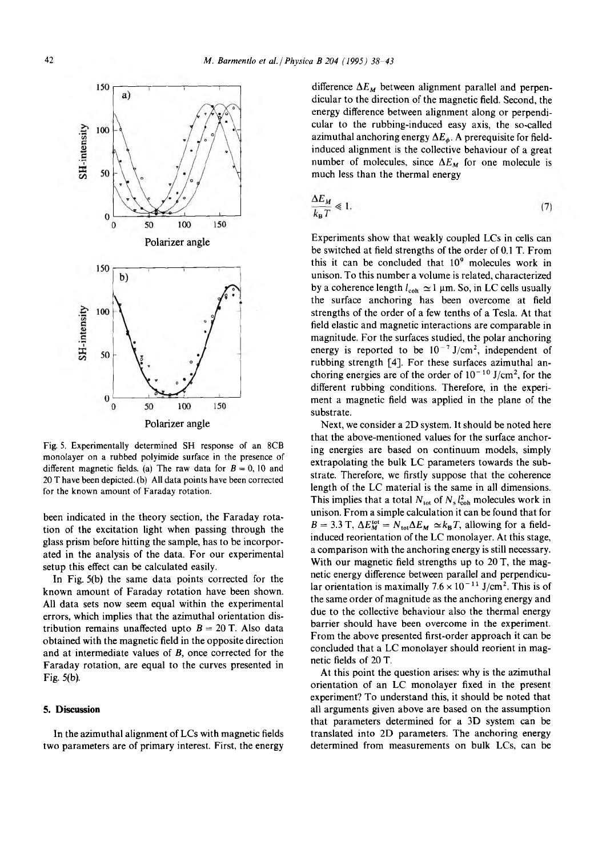

Fig. 5. Experimentally determined SH response of an BCB monolayer on a rubbed polyimide surface in the presence of different magnetic fields. (a) The raw data for  $B = 0$ , 10 and 20 T have been depicted, (b) All data points have been corrected for the known amount of Faraday rotation.

been indicated in the theory section, the Faraday rotation of the excitation light when passing through the glass prism before hitting the sample, has to be incorporated in the analysis of the data. For our experimental setup this effect can be calculated easily.

In Fig. 5(b) the same data points corrected for the known amount of Faraday rotation have been shown. All data sets now seem equal within the experimental errors, which implies that the azimuthal orientation distribution remains unaffected upto  $B = 20$  T. Also data obtained with the magnetic field in the opposite direction and at intermediate values of *B*, once corrected for the Faraday rotation, are equal to the curves presented in Fig. 5(b).

### **5. Discussion**

In the azimuthal alignment of LCs with magnetic fields two parameters are of primary interest. First, the energy difference  $\Delta E_M$  between alignment parallel and perpendicular to the direction of the magnetic field. Second, the energy difference between alignment along or perpendicular to the rubbing-induced easy axis, the so-called azimuthal anchoring energy  $\Delta E_{\phi}$ . A prerequisite for fieldinduced alignment is the collective behaviour of a great number of molecules, since  $\Delta E_M$  for one molecule is much less than the thermal energy

$$
\frac{\Delta E_M}{k_B T} \ll 1. \tag{7}
$$

Experiments show that weakly coupled LCs in cells can be switched at field strengths of the order of 0.1 T. From this it can be concluded that  $10<sup>9</sup>$  molecules work in unison. To this number a volume is related, characterized by a coherence length  $l_{coh} \simeq 1 \,\mu \text{m}$ . So, in LC cells usually the surface anchoring has been overcome at field strengths of the order of a few tenths of a Tesla. At that field elastic and magnetic interactions are comparable in magnitude. For the surfaces studied, the polar anchoring energy is reported to be  $10^{-7}$  J/cm<sup>2</sup>, independent of rubbing strength [4]. For these surfaces azimuthal anchoring energies are of the order of  $10^{-10}$  J/cm<sup>2</sup>, for the different rubbing conditions. Therefore, in the experiment a magnetic field was applied in the plane of the substrate.

Next, we consider a 2D system. It should be noted here that the above-mentioned values for the surface anchoring energies are based on continuum models, simply extrapolating the bulk LC parameters towards the substrate. Therefore, we firstly suppose that the coherence length of the LC material is the same in all dimensions. This implies that a total  $N_{\text{tot}}$  of  $N_{\text{s}} l_{\text{coh}}^2$  molecules work in unison. From a simple calculation it can be found that for  $B = 3.3$  T,  $\Delta E_M^{\text{tot}} = N_{\text{tot}} \Delta E_M \simeq k_B T$ , allowing for a fieldinduced reorientation of the LC monolayer. At this stage, a comparison with the anchoring energy is still necessary. With our magnetic field strengths up to 20 T, the magnetic energy difference between parallel and perpendicular orientation is maximally  $7.6 \times 10^{-11}$  J/cm<sup>2</sup>. This is of the same order of magnitude as the anchoring energy and due to the collective behaviour also the thermal energy barrier should have been overcome in the experiment. From the above presented first-order approach it can be concluded that a LC monolayer should reorient in magnetic fields of 20 T.

At this point the question arises: why is the azimuthal orientation of an LC monolayer fixed in the present experiment? To understand this, it should be noted that all arguments given above are based on the assumption that parameters determined for a 3D system can be translated into 2D parameters. The anchoring energy determined from measurements on bulk LCs, can be